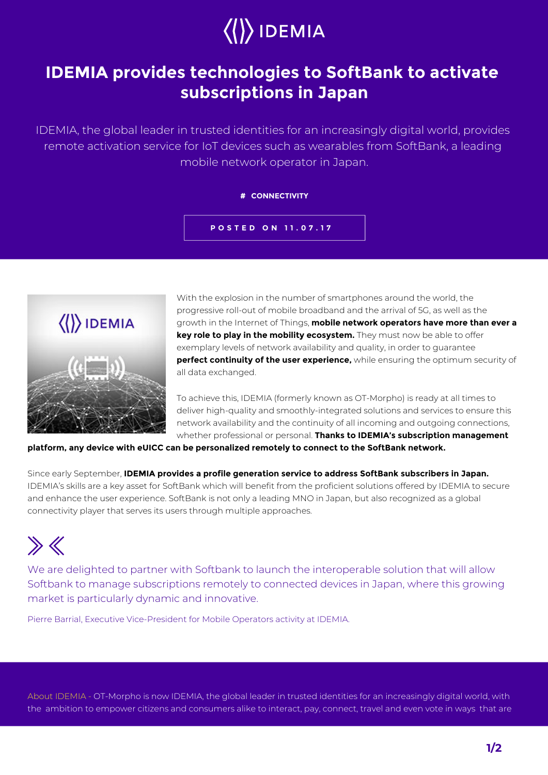# $\langle\langle\rangle\rangle$  IDEMIA

## **IDEMIA provides technologies to SoftBank to activate subscriptions in Japan**

IDEMIA, the global leader in trusted identities for an increasingly digital world, provides remote activation service for IoT devices such as wearables from SoftBank, a leading mobile network operator in Japan.

### **# CONNECTIVITY**

**POSTED ON 11.07.17**



With the explosion in the number of smartphones around the world, the progressive roll-out of mobile broadband and the arrival of 5G, as well as the growth in the Internet of Things, **mobile network operators have more than ever a key role to play in the mobility ecosystem.** They must now be able to offer exemplary levels of network availability and quality, in order to guarantee **perfect continuity of the user experience,** while ensuring the optimum security of all data exchanged.

To achieve this, IDEMIA (formerly known as OT-Morpho) is ready at all times to deliver high-quality and smoothly-integrated solutions and services to ensure this network availability and the continuity of all incoming and outgoing connections, whether professional or personal. **Thanks to IDEMIA's subscription management** 

**platform, any device with eUICC can be personalized remotely to connect to the SoftBank network.** 

Since early September, **IDEMIA provides a profile generation service to address SoftBank subscribers in Japan.** IDEMIA's skills are a key asset for SoftBank which will benefit from the proficient solutions offered by IDEMIA to secure and enhance the user experience. SoftBank is not only a leading MNO in Japan, but also recognized as a global connectivity player that serves its users through multiple approaches.

## $\gg$

We are delighted to partner with Softbank to launch the interoperable solution that will allow Softbank to manage subscriptions remotely to connected devices in Japan, where this growing market is particularly dynamic and innovative.

Pierre Barrial, Executive Vice-President for Mobile Operators activity at IDEMIA.

About IDEMIA - OT-Morpho is now IDEMIA, the global leader in trusted identities for an increasingly digital world, with the ambition to empower citizens and consumers alike to interact, pay, connect, travel and even vote in ways that are